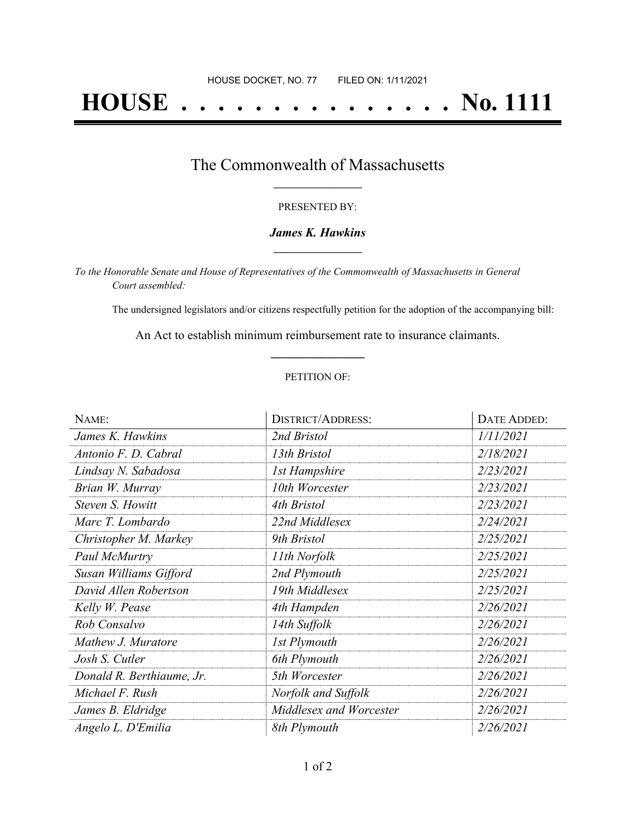# **HOUSE . . . . . . . . . . . . . . . No. 1111**

### The Commonwealth of Massachusetts **\_\_\_\_\_\_\_\_\_\_\_\_\_\_\_\_\_**

#### PRESENTED BY:

#### *James K. Hawkins* **\_\_\_\_\_\_\_\_\_\_\_\_\_\_\_\_\_**

*To the Honorable Senate and House of Representatives of the Commonwealth of Massachusetts in General Court assembled:*

The undersigned legislators and/or citizens respectfully petition for the adoption of the accompanying bill:

An Act to establish minimum reimbursement rate to insurance claimants. **\_\_\_\_\_\_\_\_\_\_\_\_\_\_\_**

#### PETITION OF:

| NAME:                     | <b>DISTRICT/ADDRESS:</b> | DATE ADDED: |
|---------------------------|--------------------------|-------------|
| James K. Hawkins          | 2nd Bristol              | 1/11/2021   |
| Antonio F. D. Cabral      | 13th Bristol             | 2/18/2021   |
| Lindsay N. Sabadosa       | <b>1st Hampshire</b>     | 2/23/2021   |
| Brian W. Murray           | 10th Worcester           | 2/23/2021   |
| Steven S. Howitt          | 4th Bristol              | 2/23/2021   |
| Marc T. Lombardo          | 22nd Middlesex           | 2/24/2021   |
| Christopher M. Markey     | 9th Bristol              | 2/25/2021   |
| Paul McMurtry             | 11th Norfolk             | 2/25/2021   |
| Susan Williams Gifford    | 2nd Plymouth             | 2/25/2021   |
| David Allen Robertson     | 19th Middlesex           | 2/25/2021   |
| Kelly W. Pease            | 4th Hampden              | 2/26/2021   |
| Rob Consalvo              | 14th Suffolk             | 2/26/2021   |
| Mathew J. Muratore        | <b>1st Plymouth</b>      | 2/26/2021   |
| Josh S. Cutler            | 6th Plymouth             | 2/26/2021   |
| Donald R. Berthiaume, Jr. | 5th Worcester            | 2/26/2021   |
| Michael F. Rush           | Norfolk and Suffolk      | 2/26/2021   |
| James B. Eldridge         | Middlesex and Worcester  | 2/26/2021   |
| Angelo L. D'Emilia        | 8th Plymouth             | 2/26/2021   |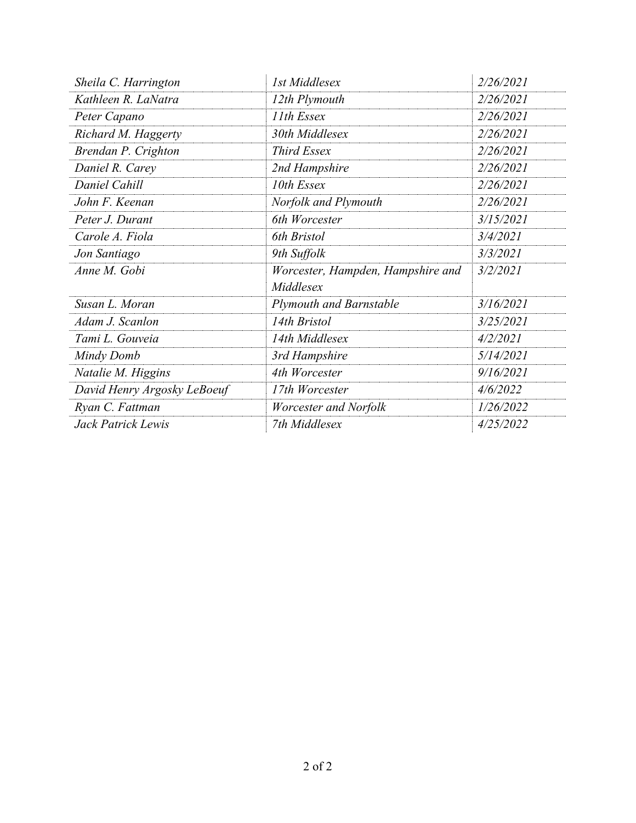| Sheila C. Harrington        | 1st Middlesex                     | 2/26/2021 |
|-----------------------------|-----------------------------------|-----------|
| Kathleen R. LaNatra         | 12th Plymouth                     | 2/26/2021 |
| Peter Capano                | 11th Essex                        | 2/26/2021 |
| Richard M. Haggerty         | 30th Middlesex                    | 2/26/2021 |
| Brendan P. Crighton         | <b>Third Essex</b>                | 2/26/2021 |
| Daniel R. Carey             | 2nd Hampshire                     | 2/26/2021 |
| Daniel Cahill               | 10th Essex                        | 2/26/2021 |
| John F. Keenan              | Norfolk and Plymouth              | 2/26/2021 |
| Peter J. Durant             | 6th Worcester                     | 3/15/2021 |
| Carole A. Fiola             | 6th Bristol                       | 3/4/2021  |
| Jon Santiago                | 9th Suffolk                       | 3/3/2021  |
| Anne M. Gobi                | Worcester, Hampden, Hampshire and | 3/2/2021  |
|                             | Middlesex                         |           |
| Susan L. Moran              | <b>Plymouth and Barnstable</b>    | 3/16/2021 |
| Adam J. Scanlon             | 14th Bristol                      | 3/25/2021 |
| Tami L. Gouveia             | 14th Middlesex                    | 4/2/2021  |
| Mindy Domb                  | 3rd Hampshire                     | 5/14/2021 |
| Natalie M. Higgins          | 4th Worcester                     | 9/16/2021 |
| David Henry Argosky LeBoeuf | 17th Worcester                    | 4/6/2022  |
| Ryan C. Fattman             | Worcester and Norfolk             | 1/26/2022 |
| Jack Patrick Lewis          | 7th Middlesex                     | 4/25/2022 |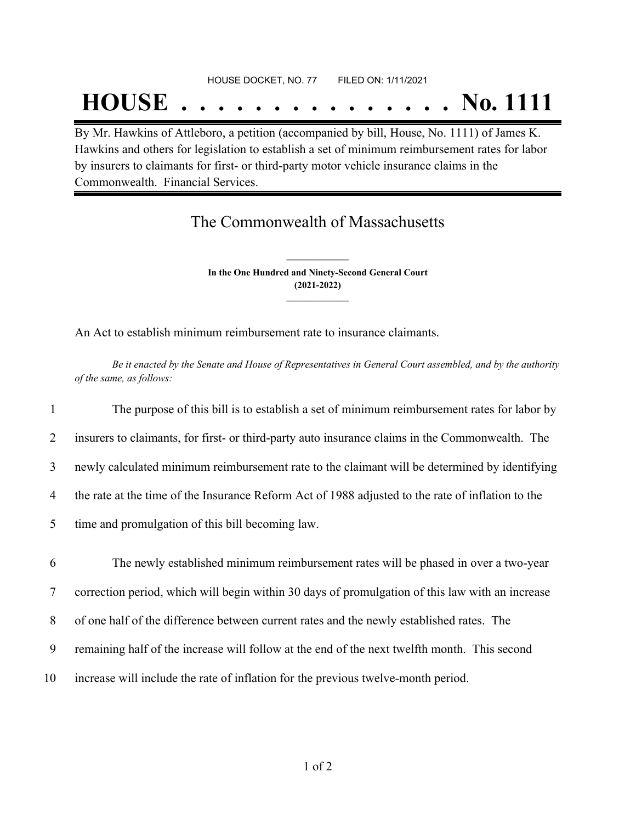#### HOUSE DOCKET, NO. 77 FILED ON: 1/11/2021

## **HOUSE . . . . . . . . . . . . . . . No. 1111**

By Mr. Hawkins of Attleboro, a petition (accompanied by bill, House, No. 1111) of James K. Hawkins and others for legislation to establish a set of minimum reimbursement rates for labor by insurers to claimants for first- or third-party motor vehicle insurance claims in the Commonwealth. Financial Services.

## The Commonwealth of Massachusetts

**In the One Hundred and Ninety-Second General Court (2021-2022) \_\_\_\_\_\_\_\_\_\_\_\_\_\_\_**

**\_\_\_\_\_\_\_\_\_\_\_\_\_\_\_**

An Act to establish minimum reimbursement rate to insurance claimants.

Be it enacted by the Senate and House of Representatives in General Court assembled, and by the authority *of the same, as follows:*

| $\mathbf{1}$ | The purpose of this bill is to establish a set of minimum reimbursement rates for labor by        |
|--------------|---------------------------------------------------------------------------------------------------|
| 2            | insurers to claimants, for first- or third-party auto insurance claims in the Commonwealth. The   |
| 3            | newly calculated minimum reimbursement rate to the claimant will be determined by identifying     |
| 4            | the rate at the time of the Insurance Reform Act of 1988 adjusted to the rate of inflation to the |
| 5            | time and promulgation of this bill becoming law.                                                  |
|              |                                                                                                   |
| 6            | The newly established minimum reimbursement rates will be phased in over a two-year               |
|              |                                                                                                   |
| $\tau$       | correction period, which will begin within 30 days of promulgation of this law with an increase   |
| 8            | of one half of the difference between current rates and the newly established rates. The          |
| 9            | remaining half of the increase will follow at the end of the next twelfth month. This second      |